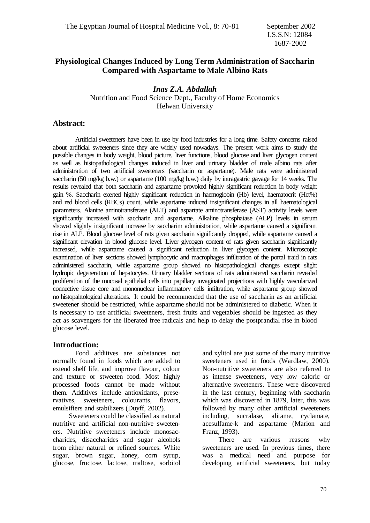# **Physiological Changes Induced by Long Term Administration of Saccharin Compared with Aspartame to Male Albino Rats**

*Inas Z.A. Abdallah* Nutrition and Food Science Dept., Faculty of Home Economics Helwan University

## **Abstract:**

Artificial sweeteners have been in use by food industries for a long time. Safety concerns raised about artificial sweeteners since they are widely used nowadays. The present work aims to study the possible changes in body weight, blood picture, liver functions, blood glucose and liver glycogen content as well as histopathological changes induced in liver and urinary bladder of male albino rats after administration of two artificial sweeteners (saccharin or aspartame). Male rats were administered saccharin (50 mg/kg b.w.) or aspartame (100 mg/kg b.w.) daily by intragastric gavage for 14 weeks. The results revealed that both saccharin and aspartame provoked highly significant reduction in body weight gain %. Saccharin exerted highly significant reduction in haemoglobin (Hb) level, haematocrit (Hct%) and red blood cells (RBCs) count, while aspartame induced insignificant changes in all haematological parameters. Alanine aminotransferase (ALT) and aspartate aminotransferase (AST) activity levels were significantly increased with saccharin and aspartame. Alkaline phosphatase (ALP) levels in serum showed slightly insignificant increase by saccharim administration, while aspartame caused a significant rise in ALP. Blood glucose level of rats given saccharin significantly dropped, while aspartame caused a significant elevation in blood glucose level. Liver glycogen content of rats given saccharin significantly increased, while aspartame caused a significant reduction in liver glycogen content. Microscopic examination of liver sections showed lymphocytic and macrophages infiltration of the portal traid in rats administered saccharin, while aspartame group showed no histopathological changes except slight hydropic degeneration of hepatocytes. Urinary bladder sections of rats administered saccharin revealed proliferation of the mucosal epithelial cells into papillary invaginated projections with highly vascularized connective tissue core and mononuclear inflammatory cells infiltration, while aspartame group showed no histopahtological alterations. It could be recommended that the use of saccharin as an artificial sweetener should be restricted, while aspartame should not be administered to diabetic. When it is necessary to use artificial sweeteners, fresh fruits and vegetables should be ingested as they act as scavengers for the liberated free radicals and help to delay the postprandial rise in blood glucose level.

## **Introduction:**

Food additives are substances not normally found in foods which are added to extend shelf life, and improve flavour, colour and texture or stweeten food. Most highly processed foods cannot be made without them. Additives include antioxidants, preservatives, sweeteners, colourants, flavors, emulsifiers and stabilizers (Duyff, 2002).

 Sweeteners could be classified as natural nutritive and artificial non-nutritive sweeteners. Nutritive sweeteners include monosaccharides, disaccharides and sugar alcohols from either natural or refined sources. White sugar, brown sugar, honey, corn syrup, glucose, fructose, lactose, maltose, sorbitol and xylitol are just some of the many nutritive sweeteners used in foods (Wardlaw, 2000). Non-nutritive sweeteners are also referred to as intense sweeteners, very low caloric or alternative sweeteners. These were discovered in the last century, beginning with saccharin which was discovered in 1879, later, this was followed by many other artificial sweeteners including, sucralase, alitame, cyclamate, acesulfame-k and aspartame (Marion and Franz, 1993).

 There are various reasons why sweeteners are used. In previous times, there was a medical need and purpose for developing artificial sweeteners, but today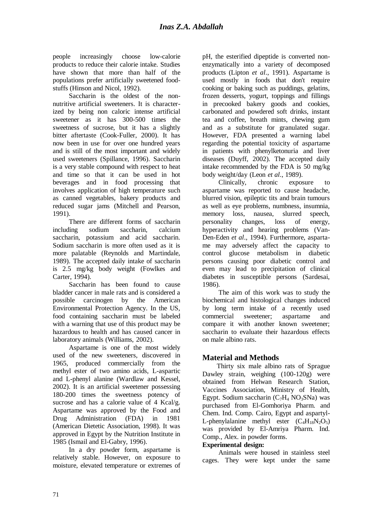people increasingly choose low-calorie products to reduce their calorie intake. Studies have shown that more than half of the populations prefer artificially sweetened foodstuffs (Hinson and Nicol, 1992).

 Saccharin is the oldest of the nonnutritive artificial sweeteners. It is characterized by being non caloric intense artificial sweetener as it has 300-500 times the sweetness of sucrose, but it has a slightly bitter aftertaste (Cook-Fuller, 2000). It has now been in use for over one hundred years and is still of the most important and widely used sweeteners (Spillance, 1996). Saccharin is a very stable compound with respect to heat and time so that it can be used in hot beverages and in food processing that involves application of high temperature such as canned vegetables, bakery products and reduced sugar jams (Mitchell and Pearson, 1991).

 There are different forms of saccharin including sodium saccharin, calcium saccharin, potassium and acid saccharin. Sodium saccharin is more often used as it is more palatable (Reynolds and Martindale, 1989). The accepted daily intake of saccharin is 2.5 mg/kg body weight (Fowlkes and Carter, 1994).

 Saccharin has been found to cause bladder cancer in male rats and is considered a possible carcinogen by the American Environmental Protection Agency. In the US, food containing saccharin must be labeled with a warning that use of this product may be hazardous to health and has caused cancer in laboratory animals (Williams, 2002).

 Aspartame is one of the most widely used of the new sweeteners, discovered in 1965, produced commercially from the methyl ester of two amino acids, L-aspartic and L-phenyl alanine (Wardlaw and Kessel, 2002). It is an artificial sweetener possessing 180-200 times the sweetness potency of sucrose and has a calorie value of 4 Kcal/g. Aspartame was approved by the Food and Drug Administration (FDA) in 1981 (American Dietetic Association, 1998). It was approved in Egypt by the Nutrition Institute in 1985 (Ismail and El-Gabry, 1996).

 In a dry powder form, aspartame is relatively stable. However, on exposure to moisture, elevated temperature or extremes of pH, the esterified dipeptide is converted nonenzymatically into a variety of decomposed products (Lipton *et al*., 1991). Aspartame is used mostly in foods that don't require cooking or baking such as puddings, gelatins, frozen desserts, yogurt, toppings and fillings in precooked bakery goods and cookies, carbonated and powdered soft drinks, instant tea and coffee, breath mints, chewing gum and as a substitute for granulated sugar. However, FDA presented a warning label regarding the potential toxicity of aspartame in patients with phenylketonuria and liver diseases (Duyff, 2002). The accepted daily intake recommended by the FDA is 50 mg/kg body weight/day (Leon *et al*., 1989).

 Clinically, chronic exposure to aspartame was reported to cause headache, blurred vision, epileptic tits and brain tumours as well as eye problems, numbness, insumnia, memory loss, nausea, slurred speech, personality changes, loss of energy, hyperactivity and hearing problems (Van-Den-Eden *et al*., 1994). Furthermore, aspartame may adversely affect the capacity to control glucose metabolism in diabetic persons causing poor diabetic control and even may lead to precipitation of clinical diabetes in susceptible persons (Sardesai, 1986).

 The aim of this work was to study the biochemical and histological changes induced by long term intake of a recently used commercial sweetener; aspartame and compare it with another known sweetener; saccharin to evaluate their hazardous effects on male albino rats.

# **Material and Methods**

 Thirty six male albino rats of Sprague Dawley strain, weighing (100-120g) were obtained from Helwan Research Station, Vaccines Association, Ministry of Health, Egypt. Sodium saccharin  $(C_7H_4 N_9S_8N_a)$  was purchased from El-Gomhoriya Pharm. and Chem. Ind. Comp. Cairo, Egypt and aspartyl-L-phenylalanine methyl ester  $(C_4H_{18}N_2O_5)$ was provided by El-Amriya Pharm. Ind. Comp., Alex. in powder forms.

## **Experimental design:**

 Animals were housed in stainless steel cages. They were kept under the same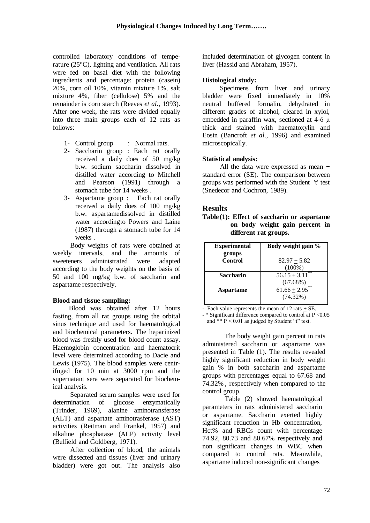controlled laboratory conditions of temperature (25°C), lighting and ventilation. All rats were fed on basal diet with the following ingredients and percentage: protein (casein) 20%, corn oil 10%, vitamin mixture 1%, salt mixture 4%, fiber (cellulose) 5% and the remainder is corn starch (Reeves *et al*., 1993). After one week, the rats were divided equally into three main groups each of 12 rats as follows:

- 1- Control group : Normal rats.
- 2- Saccharin group : Each rat orally received a daily does of 50 mg/kg b.w. sodium saccharin dissolved in distilled water according to Mitchell and Pearson (1991) through a stomach tube for 14 weeks .
- 3- Aspartame group : Each rat orally received a daily does of 100 mg/kg b.w. aspartamedissolved in distilled water accordingto Powers and Laine (1987) through a stomach tube for 14 weeks .

 Body weights of rats were obtained at weekly intervals, and the amounts of sweeteners administrated were adapted according to the body weights on the basis of 50 and 100 mg/kg b.w. of saccharin and aspartame respectively.

### **Blood and tissue sampling:**

 Blood was obtained after 12 hours fasting, from all rat groups using the orbital sinus technique and used for haematological and biochemical parameters. The heparinized blood was freshly used for blood count assay. Haemoglobin concentration and haematocrit level were determined according to Dacie and Lewis (1975). The blood samples were centrifuged for 10 min at 3000 rpm and the supernatant sera were separated for biochemical analysis.

 Separated serum samples were used for determination of glucose enzymatically (Trinder, 1969), alanine aminotransferase (ALT) and aspartate aminotrasferase (AST) activities (Reitman and Frankel, 1957) and alkaline phosphatase (ALP) activity level (Belfield and Goldberg, 1971).

 After collection of blood, the animals were dissected and tissues (liver and urinary bladder) were got out. The analysis also included determination of glycogen content in liver (Hassid and Abraham, 1957).

### **Histological study:**

 Specimens from liver and urinary bladder were fixed immediately in 10% neutral buffered formalin, dehydrated in different grades of alcohol, cleared in xylol, embedded in paraffin wax, sectioned at 4-6 μ thick and stained with haematoxylin and Eosin (Bancroft *et al*., 1996) and examined microscopically.

### **Statistical analysis:**

 All the data were expressed as mean + standard error (SE). The comparison between groups was performed with the Student 't' test (Snedecor and Cochron, 1989).

## **Results**

**Table (1): Effect of saccharin or aspartame on body weight gain percent in different rat groups.**

| <b>Experimental</b> | Body weight gain %   |  |  |
|---------------------|----------------------|--|--|
| groups              |                      |  |  |
| <b>Control</b>      | $82.97 + 5.82$       |  |  |
|                     | $(100\%)$            |  |  |
| <b>Saccharin</b>    | **<br>$56.15 + 3.11$ |  |  |
|                     | (67.68%)             |  |  |
| Aspartame           | $61.66 + 2.95$ **    |  |  |
|                     | (74.32%)             |  |  |
|                     |                      |  |  |

- Each value represents the mean of 12 rats  $\pm$  SE.

- \* Significant difference compared to control at P <0.05 and \*\*  $P \le 0.01$  as judged by Student "t" test.

The body weight gain percent in rats administered saccharin or aspartame was presented in Table (1). The results revealed highly significant reduction in body weight gain % in both saccharin and aspartame groups with percentages equal to 67.68 and 74.32% , respectively when compared to the control group.

Table (2) showed haematological parameters in rats administered saccharin or aspartame. Saccharin exerted highly significant reduction in Hb concentration, Hct% and RBCs count with percentage 74.92, 80.73 and 80.67%, respectively and non significant changes in WBC when compared to control rats. Meanwhile, aspartame induced non-significant changes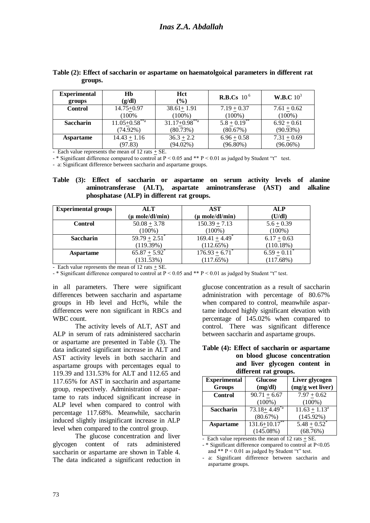| <b>Experimental</b> | Hb                              | Hct                             | <b>R.B.Cs</b> 10 <sup>6</sup> | W.B.C $10^3$  |  |
|---------------------|---------------------------------|---------------------------------|-------------------------------|---------------|--|
| groups              | (g/dl)                          | $(\%)$                          |                               |               |  |
| <b>Control</b>      | $14.75 + 0.97$                  | $38.61 + 1.91$                  | $7.19 + 0.37$                 | $7.61 + 0.62$ |  |
|                     | (100%                           | $(100\%)$                       | $(100\%)$                     | $(100\%)$     |  |
| <b>Saccharin</b>    | $11.05 \pm 0.58$ <sup>**a</sup> | $31.17 \pm 0.98$ <sup>**a</sup> | $5.8 \pm 0.19$                | $6.92 + 0.61$ |  |
|                     | $(74.92\%)$                     | (80.73%)                        | (80.67%)                      | (90.93%)      |  |
| <b>Aspartame</b>    | $14.43 + 1.16$                  | $36.3 + 2.2$                    | $6.96 + 0.58$                 | $7.31 + 0.69$ |  |
|                     | (97.83)                         | $(94.02\%)$                     | $(96.80\%)$                   | $(96.06\%)$   |  |

#### **Table (2): Effect of saccharin or aspartame on haematolgoical parameters in different rat groups.**

- Each value represents the mean of 12 rats + SE.

- \* Significant difference compared to control at P < 0.05 and \*\* P < 0.01 as judged by Student "t" test.

- a: Significant difference between saccharin and aspartame groups.

### **Table (3): Effect of saccharin or aspartame on serum activity levels of alanine aminotransferase (ALT), aspartate aminotransferase (AST) and alkaline phosphatase (ALP) in different rat groups.**

| <b>Experimental groups</b> | ALT                           | AST                            | <b>ALP</b>    |
|----------------------------|-------------------------------|--------------------------------|---------------|
|                            | (µ mole/dl/min)               | (μ mole/dl/min)                | (U/dl)        |
| <b>Control</b>             | $50.08 \pm 3.78$              | $150.39 + 7.13$                | $5.6 + 0.39$  |
|                            | $(100\%)$                     | $(100\%)$                      | $(100\%)$     |
| <b>Saccharin</b>           | $59.79 + 2.51$ <sup>*</sup>   | $169.41 + 4.49$ <sup>*</sup>   | $6.17 + 0.63$ |
|                            | (119.39%)                     | (112.65%)                      | $(110.18\%)$  |
| <b>Aspartame</b>           | $65.87 \pm 5.92$ <sup>*</sup> | $176.93 \pm 6.71$ <sup>*</sup> | $6.59 + 0.11$ |
|                            | (131.53%)                     | (117.65%)                      | (117.68%)     |

- Each value represents the mean of 12 rats + SE.

- \* Significant difference compared to control at  $P < 0.05$  and \*\*  $P < 0.01$  as judged by Student "t" test.

in all parameters. There were significant differences between saccharin and aspartame groups in Hb level and Hct%, while the differences were non significant in RBCs and WBC count.

The activity levels of ALT, AST and ALP in serum of rats administered saccharin or aspartame are presented in Table (3). The data indicated significant increase in ALT and AST activity levels in both saccharin and aspartame groups with percentages equal to 119.39 and 131.53% for ALT and 112.65 and 117.65% for AST in saccharin and aspartame group, respectively. Administration of aspartame to rats induced significant increase in ALP level when compared to control with percentage 117.68%. Meanwhile, saccharin induced slightly insignificant increase in ALP level when compared to the control group.

The glucose concentration and liver glycogen content of rats administered saccharin or aspartame are shown in Table 4. The data indicated a significant reduction in

glucose concentration as a result of saccharin administration with percentage of 80.67% when compared to control, meanwhile aspartame induced highly significant elevation with percentage of 145.02% when compared to control. There was significant difference between saccharin and aspartame groups.

### **Table (4): Effect of saccharin or aspartame on blood glucose concentration and liver glycogen content in different rat groups.**

| <b>Experimental</b> | <b>Glucose</b>        | Liver glycogen   |
|---------------------|-----------------------|------------------|
| <b>Groups</b>       | (mg/dl)               | (mg/g wet liver) |
| <b>Control</b>      | $90.71 + 6.67$        | $7.97 + 0.62$    |
|                     | $(100\%)$             | $(100\%)$        |
| <b>Saccharin</b>    | $73.18 \pm 4.49^{*a}$ | $11.63 + 1.13^a$ |
|                     | (80.67%)              | $(145.92\%)$     |
| Aspartame           | $131.6 + 10.17***$    | $5.48 + 0.52^*$  |
|                     | $(145.08\%)$          | (68.76%)         |

- Each value represents the mean of  $12 \text{ rats} + \text{SE}$ .

- \* Significant difference compared to control at P<0.05 and \*\*  $P \le 0.01$  as judged by Student "t" test.

- a: Significant difference between saccharin and aspartame groups.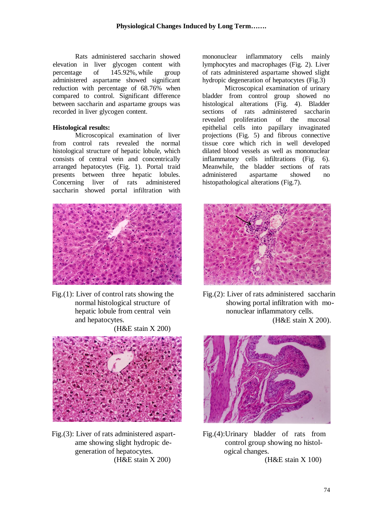Rats administered saccharin showed elevation in liver glycogen content with<br>percentage of 145.92% while group percentage of  $145.92\%$ , while group administered aspartame showed significant reduction with percentage of 68.76% when compared to control. Significant difference between saccharin and aspartame groups was recorded in liver glycogen content.

### **Histological results:**

Microscopical examination of liver from control rats revealed the normal histological structure of hepatic lobule, which consists of central vein and concentrically arranged hepatocytes (Fig. 1). Portal traid presents between three hepatic lobules. Concerning liver of rats administered saccharin showed portal infiltration with



Fig.(1): Liver of control rats showing the normal histological structure of hepatic lobule from central vein and hepatocytes.

(H&E stain X 200)



Fig.(3): Liver of rats administered aspart ame showing slight hydropic de generation of hepatocytes. (H&E stain X 200)

mononuclear inflammatory cells mainly lymphocytes and macrophages (Fig. 2). Liver of rats administered aspartame showed slight hydropic degeneration of hepatocytes (Fig.3)

Microscopical examination of urinary bladder from control group showed no histological alterations (Fig. 4). Bladder sections of rats administered saccharin revealed proliferation of the mucosal epithelial cells into papillary invaginated projections (Fig. 5) and fibrous connective tissue core which rich in well developed dilated blood vessels as well as mononuclear inflammatory cells infiltrations (Fig. 6). Meanwhile, the bladder sections of rats administered aspartame showed no histopathological alterations (Fig.7).



Fig.(2): Liver of rats administered saccharin showing portal infiltration with mo nonuclear inflammatory cells. (H&E stain X 200).



Fig.(4):Urinary bladder of rats from control group showing no histol ogical changes. (H&E stain X 100)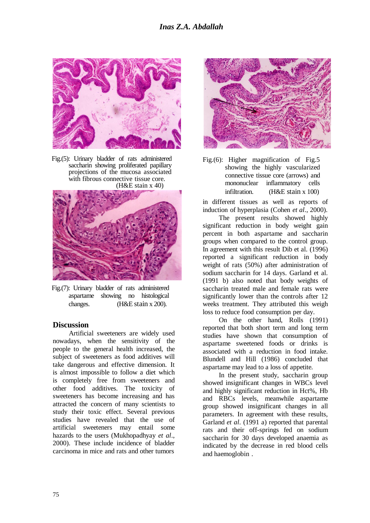

Fig.(5): Urinary bladder of rats administered saccharin showing proliferated papillary projections of the mucosa associated with fibrous connective tissue core.  $(H&E$  stain x 40)



Fig.(7): Urinary bladder of rats administered aspartame showing no histological changes. (H&E stain x 200).

## **Discussion**

 Artificial sweeteners are widely used nowadays, when the sensitivity of the people to the general health increased, the subject of sweeteners as food additives will take dangerous and effective dimension. It is almost impossible to follow a diet which is completely free from sweeteners and other food additives. The toxicity of sweeteners has become increasing and has attracted the concern of many scientists to study their toxic effect. Several previous studies have revealed that the use of artificial sweeteners may entail some hazards to the users (Mukhopadhyay *et al*., 2000). These include incidence of bladder carcinoma in mice and rats and other tumors



| Fig. $(6)$ : Higher magnification of Fig. 5 |  |                    |  |
|---------------------------------------------|--|--------------------|--|
| showing the highly vascularized             |  |                    |  |
| connective tissue core (arrows) and         |  |                    |  |
| mononuclear inflammatory cells              |  |                    |  |
| infiltration.                               |  | $(H&E \sin x 100)$ |  |

 in different tissues as well as reports of induction of hyperplasia (Cohen *et al*., 2000).

 The present results showed highly significant reduction in body weight gain percent in both aspartame and saccharin groups when compared to the control group. In agreement with this result Dib et al. (1996) reported a significant reduction in body weight of rats (50%) after administration of sodium saccharin for 14 days. Garland et al. (1991 b) also noted that body weights of saccharin treated male and female rats were significantly lower than the controls after 12 weeks treatment. They attributed this weigh loss to reduce food consumption per day.

 On the other hand, Rolls (1991) reported that both short term and long term studies have shown that consumption of aspartame sweetened foods or drinks is associated with a reduction in food intake. Blundell and Hill (1986) concluded that aspartame may lead to a loss of appetite.

 In the present study, saccharin group showed insignificant changes in WBCs level and highly significant reduction in Hct%, Hb and RBCs levels, meanwhile aspartame group showed insignificant changes in all parameters. In agreement with these results, Garland *et al*. (1991 a) reported that parental rats and their off-springs fed on sodium saccharin for 30 days developed anaemia as indicated by the decrease in red blood cells and haemoglobin .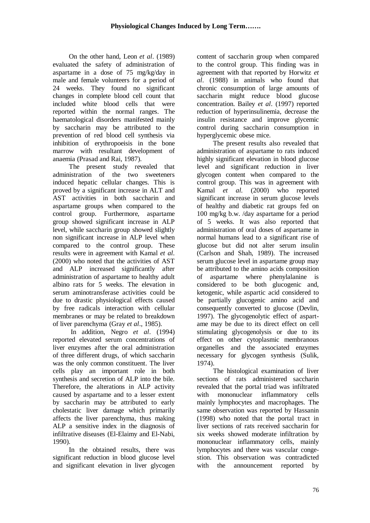On the other hand, Leon *et al*. (1989) evaluated the safety of administration of aspartame in a dose of 75 mg/kg/day in male and female volunteers for a period of 24 weeks. They found no significant changes in complete blood cell count that included white blood cells that were reported within the normal ranges. The haematological disorders manifested mainly by saccharin may be attributed to the prevention of red blood cell synthesis via inhibition of erythropoeisis in the bone marrow with resultant development of anaemia (Prasad and Rai, 1987).

 The present study revealed that administration of the two sweeteners induced hepatic cellular changes. This is proved by a significant increase in ALT and AST activities in both saccharin and aspartame groups when compared to the control group. Furthermore, aspartame group showed significant increase in ALP level, while saccharin group showed slightly non significant increase in ALP level when compared to the control group. These results were in agreement with Kamal *et al*. (2000) who noted that the activities of AST and ALP increased significantly after administration of aspartame to healthy adult albino rats for 5 weeks. The elevation in serum aminotransferase activities could be due to drastic physiological effects caused by free radicals interaction with cellular membranes or may be related to breakdown of liver parenchyma (Gray *et al*., 1985).

 In addition, Negro *et al*. (1994) reported elevated serum concentrations of liver enzymes after the oral administration of three different drugs, of which saccharin was the only common constituent. The liver cells play an important role in both synthesis and secretion of ALP into the bile. Therefore, the alterations in ALP activity caused by aspartame and to a lesser extent by saccharin may be attributed to early cholestatic liver damage which primarily affects the liver parenchyma, thus making ALP a sensitive index in the diagnosis of infiltrative diseases (El-Elaimy and El-Nabi, 1990).

 In the obtained results, there was significant reduction in blood glucose level and significant elevation in liver glycogen content of saccharin group when compared to the control group. This finding was in agreement with that reported by Horwitz *et al*. (1988) in animals who found that chronic consumption of large amounts of saccharin might reduce blood glucose concentration. Bailey *et al*. (1997) reported reduction of hyperinsulinemia, decrease the insulin resistance and improve glycemic control during saccharin consumption in hyperglycemic obese mice.

 The present results also revealed that administration of aspartame to rats induced highly significant elevation in blood glucose level and significant reduction in liver glycogen content when compared to the control group. This was in agreement with Kamal *et al.* (2000) who reported significant increase in serum glucose levels of healthy and diabetic rat groups fed on 100 mg/kg b.w. /day aspartame for a period of 5 weeks. It was also reported that administration of oral doses of aspartame in normal humans lead to a significant rise of glucose but did not alter serum insulin (Carlson and Shah, 1989). The increased serum glucose level in aspartame group may be attributed to the amino acids composition of aspartame where phenylalanine is considered to be both glucogenic and, ketogenic, while aspartic acid considered to be partially glucogenic amino acid and consequently converted to glucose (Devlin, 1997). The glycogenolytic effect of aspartame may be due to its direct effect on cell stimulating glycogenolysis or due to its effect on other cytoplasmic membranous organelles and the associated enzymes necessary for glycogen synthesis (Sulik, 1974).

 The histological examination of liver sections of rats administered saccharin revealed that the portal triad was infiltrated with mononuclear inflammatory cells mainly lymphocytes and macrophages. The same observation was reported by Hassanin (1998) who noted that the portal tract in liver sections of rats received saccharin for six weeks showed moderate infiltration by mononuclear inflammatory cells, mainly lymphocytes and there was vascular congestion. This observation was contradicted with the announcement reported by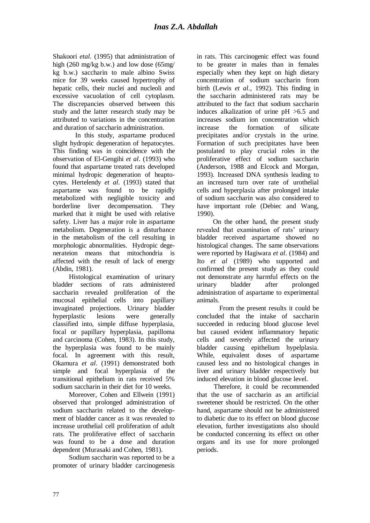Shakoori *etal*. (1995) that administration of high (260 mg/kg b.w.) and low dose (65mg/ kg b.w.) saccharin to male albino Swiss mice for 39 weeks caused hypertrophy of hepatic cells, their nuclei and nucleoli and excessive vacuolation of cell cytoplasm. The discrepancies observed between this study and the latter research study may be attributed to variations in the concentration and duration of saccharin administration.

In this study, aspartame produced slight hydropic degeneration of hepatocytes. This finding was in coincidence with the observation of El-Gengihi *et al*. (1993) who found that aspartame treated rats developed minimal hydropic degeneration of heaptocytes. Hertelendy *et al*. (1993) stated that aspartame was found to be rapidly metabolized with negligible toxicity and borderline liver decompensation. They marked that it might be used with relative safety. Liver has a major role in aspartame metabolism. Degeneration is a disturbance in the metabolism of the cell resulting in morphologic abnormalities. Hydropic degenerateion means that mitochondria is affected with the result of lack of energy (Abdin, 1981).

 Histological examination of urinary bladder sections of rats administered saccharin revealed proliferation of the mucosal epithelial cells into papillary invaginated projections. Urinary bladder hyperplastic lesions were generally classified into, simple diffuse hyperplasia, focal or papillary hyperplasia, papilloma and carcinoma (Cohen, 1983). In this study, the hyperplasia was found to be mainly focal. In agreement with this result, Okamura *et al*. (1991) demonstrated both simple and focal hyperplasia of the transitional epithelium in rats received 5% sodium saccharin in their diet for 10 weeks.

 Moreover, Cohen and Ellwein (1991) observed that prolonged administration of sodium saccharin related to the development of bladder cancer as it was revealed to increase urothelial cell proliferation of adult rats. The proliferative effect of saccharin was found to be a dose and duration dependent (Murasaki and Cohen, 1981).

 Sodium saccharin was reported to be a promoter of urinary bladder carcinogenesis

in rats. This carcinogenic effect was found to be greater in males than in females especially when they kept on high dietary concentration of sodium saccharin from birth (Lewis *et al*., 1992). This finding in the saccharin administered rats may be attributed to the fact that sodium saccharin induces alkalization of urine pH >6.5 and increases sodium ion concentration which increase the formation of silicate precipitates and/or crystals in the urine. Formation of such precipitates have been postulated to play crucial roles in the proliferative effect of sodium saccharin (Anderson, 1988 and Elcock and Morgan, 1993). Increased DNA synthesis leading to an increased turn over rate of urothelial cells and hyperplasia after prolonged intake of sodium saccharin was also considered to have important role (Debiec and Wang, 1990).

 On the other hand, the present study revealed that examination of rats' urinary bladder received aspartame showed no histological changes. The same observations were reported by Hagiwara *et al*. (1984) and Ito *et al* (1989) who supported and confirmed the present study as they could not demonstrate any harmful effects on the urinary bladder after prolonged administration of aspartame to experimental animals.

From the present results it could be concluded that the intake of saccharin succeeded in reducing blood glucose level but caused evident inflammatory hepatic cells and severely affected the urinary bladder causing epithelium hypelplasia. While, equivalent doses of aspartame caused less and no histological changes in liver and urinary bladder respectively but induced elevation in blood glucose level.

Therefore, it could be recommended that the use of saccharin as an artificial sweetener should be restricted. On the other hand, aspartame should not be administered to diabetic due to its effect on blood glucose elevation, further investigations also should be conducted concerning its effect on other organs and its use for more prolonged periods.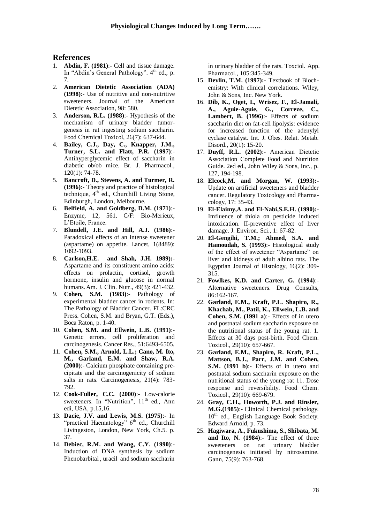### **References**

- 1. **Abdin, F. (1981)**:- Cell and tissue damage. In "Abdin's General Pathology". 4<sup>th</sup> ed., p. 7.
- 2. **American Dietetic Association (ADA) (1998)**:- Use of nutritive and non-nutritive sweeteners. Journal of the American Dietetic Association, 98: 580.
- 3. **Anderson, R.L. (1988)**:- Hypothesis of the mechanism of urinary bladder tumorgenesis in rat ingesting sodium saccharin. Food Chemical Toxicol, 26(7): 637-644.
- 4. **Bailey, C.J., Day, C., Knapper, J.M., Turner, S.L. and Flatt, P.R. (1997)**:- Antihyperglycemic effect of saccharin in diabetic ob/ob mice. Br. J. Pharmacol., 120(1): 74-78.
- 5. **Bancroft, D., Stevens, A. and Turmer, R. (1996)**:- Theory and practice of histological technique,  $4<sup>th</sup>$  ed., Churchill Living Stone, Edinburgh, London, Melbourne.
- 6. **Belfield, A. and Goldberg, D.M. (1971)**:- Enzyme, 12, 561. C/F: Bio-Merieux, L'Etoile, France.
- 7. **Blundell, J.E. and Hill, A.J. (1986)**:- Paradoxical effects of an intense sweetener (aspartame) on appetite. Lancet, 1(8489): 1092-1093.
- 8. **Carlson,H.E. and Shah, J.H. 1989):-** Aspartame and its constituent amino acids: effects on prolactin, cortisol, growth hormone, insulin and glucose in normal humans. Am. J. Clin. Nutr., 49(3): 421-432.
- 9. **Cohen, S.M. (1983)**:- Pathology of experimental bladder cancer in rodents. In: The Pathology of Bladder Cancer. FL:CRC Press. Cohen, S.M. and Bryan, G.T. (Eds.), Boca Raton, p. 1-40.
- 10. **Cohen, S.M. and Ellwein, L.B. (1991)**:- Genetic errors, cell proliferation and carcinogenesis. Cancer Res., 51:6493-6505.
- 11. **Cohen, S.M., Arnold, L.L.; Cano, M. Ito, M., Garland, E.M. and Shaw, R.A. (2000)**:- Calcium phosphate containing precipitate and the carcinogenicity of sodium salts in rats. Carcinogenesis, 21(4): 783- 792.
- 12. **Cook-Fuller, C.C. (2000)**:- Low-calorie sweeteners. In "Nutrition", 11<sup>th</sup> ed., Ann edi, USA, p.15,16.
- 13. **Dacie, J.V. and Lewis, M.S. (1975)**:- In "practical Haematology"  $6<sup>th</sup>$  ed., Churchill Livingeston, London, New York, Ch.5. p. 37.
- 14. **Debiec, R.M. and Wang, C.Y. (1990)**:- Induction of DNA synthesis by sodium Phenobarbital , uracil and sodium saccharin

in urinary bladder of the rats. Toxciol. App. Pharmacol., 105:345-349.

- 15. **Devlin, T.M. (1997):-** Textbook of Biochemistry: With clinical correlations. Wiley, John & Sons, Inc. New York.
- 16. **Dib, K., Oget, I., Wrisez, F., El-Jamali, A., Aguie-Aguie, G., Correze, C.,**  Lambert, B. (1996):- Effects of sodium saccharin diet on fat-cell lipolysis: evidence for increased function of the adenylyl cyclase catalyst. Int. J. Obes. Relat. Metab. Disord., 20(1): 15-20.
- 17. **Duyff, R.L. (2002)**:- American Dietetic Association Complete Food and Nutrition Guide. 2ed ed., John Wiley & Sons, Inc., p. 127, 194-198.
- 18. **Elcock,M. and Morgan, W. (1993):-** Update on artificial sweeteners and bladder cancer. Regulatory Toxicology and Pharmacology, 17: 35-43.
- 19. **El-Elaimy,A. and El-Nabi,S.E.H. (1990):-** Imfluence of thiola on pesticide induced intoxication. II-preventive effect of liver damage. J. Environ. Sci., 1: 67-82.
- 20. **El-Gengihi, T.M.; Ahmed, S.A. and Hamoudah, S. (1993)**:- Histological study of the effect of sweetener "Aspartame" on liver and kidneys of adult albino rats. The Egyptian Journal of Histology, 16(2): 309- 315.
- 21. **Fowlkes, K.D. and Carter, G. (1994)**:- Alternative sweeteners. Drug Consults, 86:162-167.
- 22. **Garland, E.M., Kraft, P.L. Shapiro, R., Khachab, M., Patil, K., Ellwein, L.B. and Cohen, S.M. (1991 a)**:- Effects of in utero and postnatal sodium saccharin exposure on the nutritional status of the young rat. 1. Effects at 30 days post-birth. Food Chem. Toxicol., 29(10): 657-667.
- 23. **Garland, E.M., Shapiro, R. Kraft, P.L., Mattson, B.J., Parr, J.M. and Cohen, S.M.** (1991 b):- Effects of in utero and postnatal sodium saccharin exposure on the nutritional status of the young rat 11. Dose response and reversibility. Food Chem. Toxicol., 29(10): 669-679.
- 24. **Gray, C.H., Howorth, P.J. and Rinsler, M.G.(1985)**:- Clinical Chemical pathology.  $10<sup>th</sup>$  ed., English Language Book Society. Edward Arnold, p. 73.
- 25. **Hagiwara, A., Fukushima, S., Shibata, M. and Ito, N. (1984)**:- The effect of three sweeteners on rat urinary bladder carcinogenesis initiated by nitrosamine. Gann, 75(9): 763-768.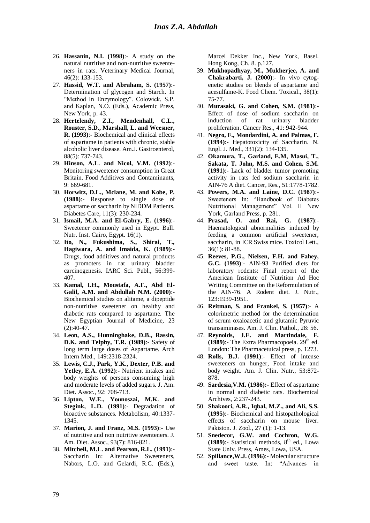- 26. **Hassanin, N.I. (1998)**:- A study on the natural nutritive and non-nutritive sweenteners in rats. Veterinary Medical Journal, 46(2): 133-153.
- 27. **Hassid, W.T. and Abraham, S. (1957)**:- Determination of glycogen and Starch. In "Method In Enzymology". Colowick, S.P. and Kaplan, N.O. (Eds.), Academic Press, New York, p. 43.
- 28. **Hertelendy, Z.I., Mendenhall, C.L., Rouster, S.D., Marshall, L. and Weesner, R. (1993)**:- Biochemical and clinical effects of aspartame in patients with chronic, stable alcoholic liver disease. Am.J. Gastroenterol, 88(5): 737-743.
- 29. **Hinson, A.L. and Nicol, V.M. (1992)**:- Monitoring sweetener consumption in Great Britain. Food Additives and Contaminants, 9: 669-681.
- 30. **Horwitz, D.L., Mclane, M. and Kobe, P. (1988)**:- Response to single dose of aspartame or saccharin by NIDDM Patients. Diabetes Care, 11(3): 230-234.
- 31. **Ismail, M.A. and El-Gabry, E. (1996)**:- Sweetener commonly used in Egypt. Bull. Nutr. Inst. Cairo, Egypt. 16(1).
- 32. **Ito, N., Fukushima, S., Shirai, T., Hagiwara, A. and Imaida, K. (1989)**:- Drugs, food additives and natural products as promoters in rat urinary bladder carcinogenesis. IARC Sci. Publ., 56:399- 407.
- 33. **Kamal, I.H., Moustafa, A.F., Abd El-Galil, A.M. and Abdullah N.M. (2000)**:- Biochemical studies on alitame, a dipeptide non-nutritive sweetener on healthy and diabetic rats compared to aspartame. The New Egyptian Journal of Medicine, 23 (2):40-47.
- 34. **Leon, A.S., Hunninghake, D.B., Rassin, D.K. and Telphy, T.R. (1989)**:- Safety of long term large doses of Aspartame. Arch Intern Med., 149:2318-2324.
- 35. **Lewis, C.J., Park, Y.K., Dexter, P.B. and Yetley, E.A. (1992)**:- Nutrient intakes and body weights of persons consuming high and moderate levels of added sugars. J. Am. Diet. Assoc., 92: 708-713.
- 36. **Lipton, W.E., Younoszai, M.K. and Stegink, L.D. (1991)**:- Degradation of bioactive substances. Metabolism, 40:1337- 1345.
- 37. **Marion, J. and Franz, M.S. (1993)**:- Use of nutritive and non nutritive swenteners. J. Am. Diet. Assoc., 93(7): 816-821.
- 38. **Mitchell, M.L. and Pearson, R.L. (1991)**:- Saccharin In: Alternative Sweeteners, Nabors, L.O. and Gelardi, R.C. (Eds.),

Marcel Dekker Inc., New York, Basel. Hong Kong, Ch. 8. p.127.

- 39. **Mukhopadhyay, M., Mukherjee, A. and Chakrabarti, J. (2000)**:- In vivo cytogenetic studies on blends of aspartame and acesulfame-K. Food Chem. Toxical., 38(1): 75-77.
- 40. **Murasaki, G. and Cohen, S.M. (1981)**:- Effect of dose of sodium saccharin on induction of rat urinary bladder proliferation. Cancer Res., 41: 942-944.
- 41. **Negro, F., Mondardini, A. and Palmas, F. (1994)**:- Hepatotoxicity of Saccharin. N. Engl. J. Med., 331(2): 134-135.
- 42. **Okamura, T., Garland, E.M, Masui, T., Sakata, T. John, M.S. and Cohen, S.M. (1991)**:- Lack of bladder tumor promoting activity in rats fed sodium saccharin in AIN-76 A diet. Cancer, Res., 51:1778-1782.
- 43. **Powers, M.A. and Laine, D.C. (1987)**:- Sweeteners In: "Handbook of Diabetes Nutritional Management" Vol. II New York, Garland Press, p. 281.
- 44. **Prasad, O. and Rai, G. (1987)**:- Haematological abnormalities induced by feeding a common artificial sweetener, saccharin, in ICR Swiss mice. Toxicol Lett., 36(1): 81-88.
- 45. **Reeves, P.G., Nielsen, F.H. and Fahey, G.C. (1993)**:- AIN-93 Purified diets for laboratory rodents: Final report of the American Institute of Nutrition Ad Hoc Writing Committee on the Reformulation of the AIN-76. A Rodent diet. J. Nutr., 123:1939-1951.
- 46. **Reitman, S. and Frankel, S. (1957)**:- A colorimetric method for the determination of serum oxaloacetic and glutamic Pyruvic transaminases. Am. J. Clin. Pathol., 28: 56.
- 47. **Reynolds, J.E. and Martindale, F.**   $(1989)$ :- The Extra Pharmacopoeia.  $29<sup>th</sup>$  ed. London: The Pharmacetuical press, p. 1273.
- 48. **Rolls, B.J. (1991)**:- Effect of intense sweeteners on hunger, Food intake and body weight. Am. J. Clin. Nutr., 53:872- 878.
- 49. **Sardesia,V.M. (1986):-** Effect of aspartame in normal and diabetic rats. Biochemical Archives, 2:237-243.
- 50. **Shakoori, A.R., Iqbal, M.Z., and Ali, S.S. (1995)**:- Biochemical and histopathological effects of saccharin on mouse liver. Pakiston. J. Zool., 27 (1): 1-13.
- 51. **Snedecor, G.W. and Cochron, W.G.**  (1989):- Statistical methods, 8<sup>th</sup> ed., Lowa State Univ. Press, Ames, Lowa, USA.
- 52. **Spillance,W.J. (1996)**:- Molecular structure and sweet taste. In: "Advances in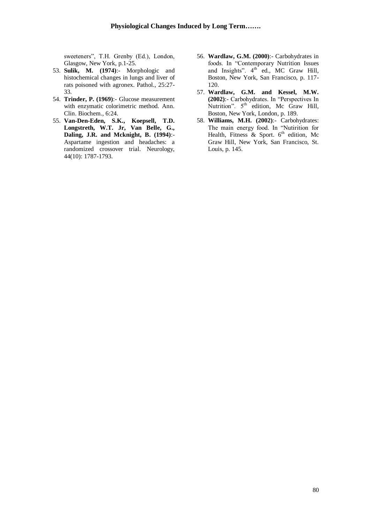sweeteners", T.H. Grenby (Ed.), London, Glasgow, New York, p.1-25.

- 53. **Sulik, M. (1974)**:- Morphologic and histochemical changes in lungs and liver of rats poisoned with agronex. Pathol., 25:27- 33.
- 54. **Trinder, P. (1969)**:- Glucose measurement with enzymatic colorimetric method. Ann. Clin. Biochem., 6:24.
- 55. **Van-Den-Eden, S.K., Koepsell, T.D. Longstreth, W.T. Jr, Van Belle, G., Daling, J.R. and Mcknight, B. (1994)**:- Aspartame ingestion and headaches: a randomized crossover trial. Neurology, 44(10): 1787-1793.
- 56. **Wardlaw, G.M. (2000)**:- Carbohydrates in foods. In "Contemporary Nutrition Issues and Insights". 4<sup>th</sup> ed., MC Graw Hill, Boston, New York, San Francisco, p. 117- 120.
- 57. **Wardlaw, G.M. and Kessel, M.W. (2002)**:- Carbohydrates. In "Perspectives In Nutrition".  $5<sup>th</sup>$  edition, Mc Graw Hill, Boston, New York, London, p. 189.
- 58. **Williams, M.H. (2002)**:- Carbohydrates: The main energy food. In "Nutirition for Health, Fitness & Sport.  $6<sup>th</sup>$  edition, Mc Graw Hill, New York, San Francisco, St. Louis, p. 145.